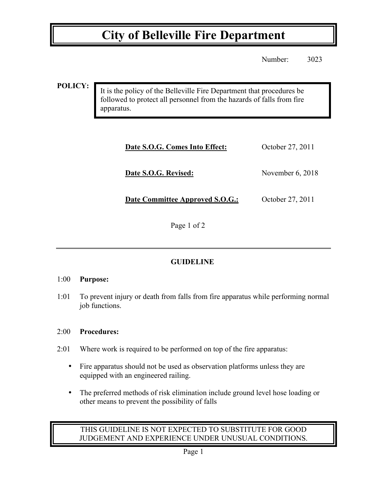## **City of Belleville Fire Department**

Number: 3023

**POLICY:**

It is the policy of the Belleville Fire Department that procedures be followed to protect all personnel from the hazards of falls from fire apparatus.

| Date S.O.G. Comes Into Effect:         | October 27, 2011   |
|----------------------------------------|--------------------|
| Date S.O.G. Revised:                   | November $6, 2018$ |
| <b>Date Committee Approved S.O.G.:</b> | October 27, 2011   |

Page 1 of 2

### **GUIDELINE**

#### 1:00 **Purpose:**

1:01 To prevent injury or death from falls from fire apparatus while performing normal job functions.

#### 2:00 **Procedures:**

- 2:01 Where work is required to be performed on top of the fire apparatus:
	- Fire apparatus should not be used as observation platforms unless they are equipped with an engineered railing.
	- The preferred methods of risk elimination include ground level hose loading or other means to prevent the possibility of falls

#### THIS GUIDELINE IS NOT EXPECTED TO SUBSTITUTE FOR GOOD JUDGEMENT AND EXPERIENCE UNDER UNUSUAL CONDITIONS.